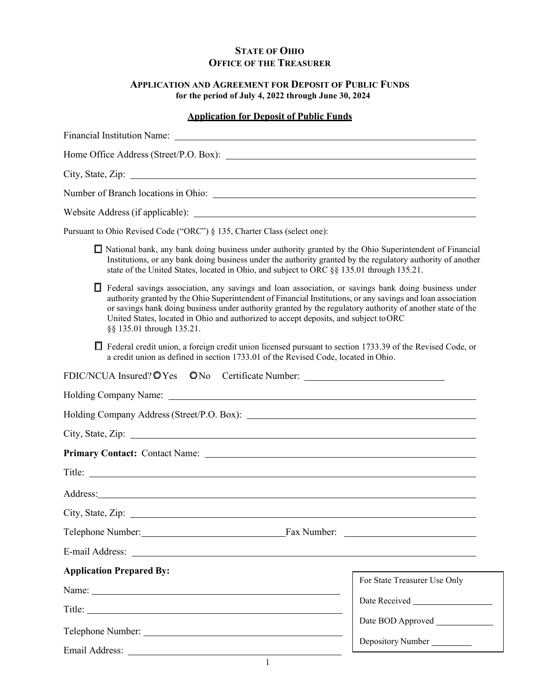# **STATE OF OHIO OFFICE OF THE TREASURER**

# **APPLICATION AND AGREEMENT FOR DEPOSIT OF PUBLIC FUNDS for the period of July 4, 2022 through June 30, 2024**

# **Application for Deposit of Public Funds**

|   | Home Office Address (Street/P.O. Box):                                                                                                                                                                                                                                                                                                                                                                                                                |                              |
|---|-------------------------------------------------------------------------------------------------------------------------------------------------------------------------------------------------------------------------------------------------------------------------------------------------------------------------------------------------------------------------------------------------------------------------------------------------------|------------------------------|
|   |                                                                                                                                                                                                                                                                                                                                                                                                                                                       |                              |
|   |                                                                                                                                                                                                                                                                                                                                                                                                                                                       |                              |
|   |                                                                                                                                                                                                                                                                                                                                                                                                                                                       |                              |
|   | Pursuant to Ohio Revised Code ("ORC") § 135, Charter Class (select one):                                                                                                                                                                                                                                                                                                                                                                              |                              |
|   | □ National bank, any bank doing business under authority granted by the Ohio Superintendent of Financial<br>Institutions, or any bank doing business under the authority granted by the regulatory authority of another<br>state of the United States, located in Ohio, and subject to ORC §§ 135.01 through 135.21.                                                                                                                                  |                              |
| П | Federal savings association, any savings and loan association, or savings bank doing business under<br>authority granted by the Ohio Superintendent of Financial Institutions, or any savings and loan association<br>or savings bank doing business under authority granted by the regulatory authority of another state of the<br>United States, located in Ohio and authorized to accept deposits, and subject to ORC<br>§§ 135.01 through 135.21. |                              |
|   | Federal credit union, a foreign credit union licensed pursuant to section 1733.39 of the Revised Code, or<br>a credit union as defined in section 1733.01 of the Revised Code, located in Ohio.                                                                                                                                                                                                                                                       |                              |
|   | FDIC/NCUA Insured? O Yes ONo Certificate Number: _______________________________                                                                                                                                                                                                                                                                                                                                                                      |                              |
|   | Holding Company Name: 1988 and 2008 and 2008 and 2008 and 2008 and 2008 and 2008 and 2008 and 2008 and 2008 and 2008 and 2008 and 2008 and 2008 and 2008 and 2008 and 2008 and 2008 and 2008 and 2008 and 2008 and 2008 and 20                                                                                                                                                                                                                        |                              |
|   |                                                                                                                                                                                                                                                                                                                                                                                                                                                       |                              |
|   |                                                                                                                                                                                                                                                                                                                                                                                                                                                       |                              |
|   | Primary Contact: Contact Name: 2008 2010 2020 2020 2020 2021 2021 2022 2021 2022 2021 2022 2022 2022 2022 2021                                                                                                                                                                                                                                                                                                                                        |                              |
|   |                                                                                                                                                                                                                                                                                                                                                                                                                                                       |                              |
|   | Address: and the contract of the contract of the contract of the contract of the contract of the contract of the contract of the contract of the contract of the contract of the contract of the contract of the contract of t                                                                                                                                                                                                                        |                              |
|   |                                                                                                                                                                                                                                                                                                                                                                                                                                                       |                              |
|   |                                                                                                                                                                                                                                                                                                                                                                                                                                                       |                              |
|   |                                                                                                                                                                                                                                                                                                                                                                                                                                                       |                              |
|   | <b>Application Prepared By:</b>                                                                                                                                                                                                                                                                                                                                                                                                                       |                              |
|   |                                                                                                                                                                                                                                                                                                                                                                                                                                                       | For State Treasurer Use Only |
|   |                                                                                                                                                                                                                                                                                                                                                                                                                                                       |                              |
|   |                                                                                                                                                                                                                                                                                                                                                                                                                                                       |                              |
|   |                                                                                                                                                                                                                                                                                                                                                                                                                                                       | Depository Number            |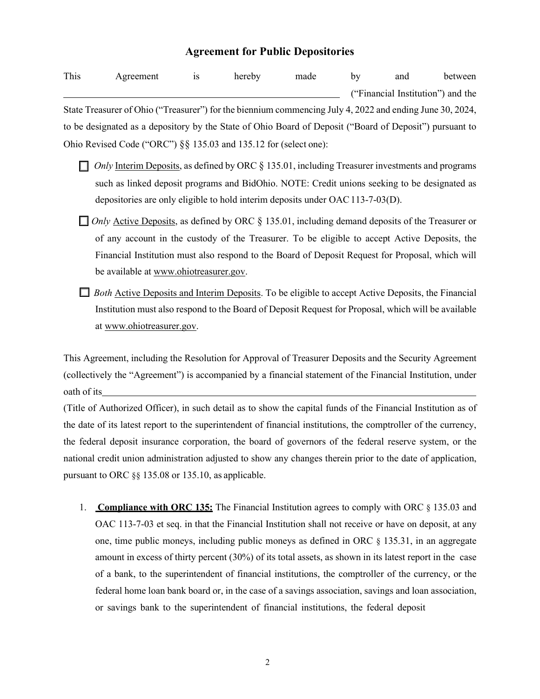# **Agreement for Public Depositories**

| This | Agreement                                                                                                | <b>1S</b> | hereby | made | by | and | between                           |
|------|----------------------------------------------------------------------------------------------------------|-----------|--------|------|----|-----|-----------------------------------|
|      |                                                                                                          |           |        |      |    |     | ("Financial Institution") and the |
|      | State Treasurer of Ohio ("Treasurer") for the biennium commencing July 4, 2022 and ending June 30, 2024, |           |        |      |    |     |                                   |
|      | to be designated as a depository by the State of Ohio Board of Deposit ("Board of Deposit") pursuant to  |           |        |      |    |     |                                   |
|      | Ohio Revised Code ("ORC") $\S\S$ 135.03 and 135.12 for (select one):                                     |           |        |      |    |     |                                   |

- □ *Only* Interim Deposits, as defined by ORC § 135.01, including Treasurer investments and programs such as linked deposit programs and BidOhio. NOTE: Credit unions seeking to be designated as depositories are only eligible to hold interim deposits under OAC 113-7-03(D).
- **□** *Only* Active Deposits, as defined by ORC § 135.01, including demand deposits of the Treasurer or of any account in the custody of the Treasurer. To be eligible to accept Active Deposits, the Financial Institution must also respond to the Board of Deposit Request for Proposal, which will be available at [www.ohiotreasurer.gov.](http://www.ohiotreasurer.gov/)
- □ *Both* Active Deposits and Interim Deposits. To be eligible to accept Active Deposits, the Financial Institution must also respond to the Board of Deposit Request for Proposal, which will be available at [www.ohiotreasurer.gov.](http://www.ohiotreasurer.gov/)

This Agreement, including the Resolution for Approval of Treasurer Deposits and the Security Agreement (collectively the "Agreement") is accompanied by a financial statement of the Financial Institution, under oath of its

(Title of Authorized Officer), in such detail as to show the capital funds of the Financial Institution as of the date of its latest report to the superintendent of financial institutions, the comptroller of the currency, the federal deposit insurance corporation, the board of governors of the federal reserve system, or the national credit union administration adjusted to show any changes therein prior to the date of application, pursuant to ORC §§ 135.08 or 135.10, as applicable.

1. **Compliance with ORC 135:** The Financial Institution agrees to comply with ORC § 135.03 and OAC 113-7-03 et seq. in that the Financial Institution shall not receive or have on deposit, at any one, time public moneys, including public moneys as defined in ORC § 135.31, in an aggregate amount in excess of thirty percent (30%) of its total assets, as shown in its latest report in the case of a bank, to the superintendent of financial institutions, the comptroller of the currency, or the federal home loan bank board or, in the case of a savings association, savings and loan association, or savings bank to the superintendent of financial institutions, the federal deposit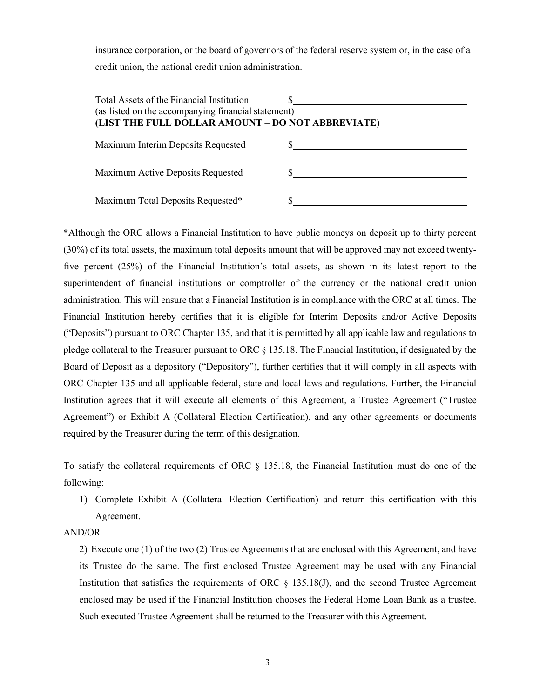insurance corporation, or the board of governors of the federal reserve system or, in the case of a credit union, the national credit union administration.

| Total Assets of the Financial Institution<br>(as listed on the accompanying financial statement)<br>(LIST THE FULL DOLLAR AMOUNT - DO NOT ABBREVIATE) |  |
|-------------------------------------------------------------------------------------------------------------------------------------------------------|--|
| Maximum Interim Deposits Requested                                                                                                                    |  |
| Maximum Active Deposits Requested                                                                                                                     |  |
| Maximum Total Deposits Requested*                                                                                                                     |  |

\*Although the ORC allows a Financial Institution to have public moneys on deposit up to thirty percent (30%) of its total assets, the maximum total deposits amount that will be approved may not exceed twentyfive percent (25%) of the Financial Institution's total assets, as shown in its latest report to the superintendent of financial institutions or comptroller of the currency or the national credit union administration. This will ensure that a Financial Institution is in compliance with the ORC at all times. The Financial Institution hereby certifies that it is eligible for Interim Deposits and/or Active Deposits ("Deposits") pursuant to ORC Chapter 135, and that it is permitted by all applicable law and regulations to pledge collateral to the Treasurer pursuant to ORC § 135.18. The Financial Institution, if designated by the Board of Deposit as a depository ("Depository"), further certifies that it will comply in all aspects with ORC Chapter 135 and all applicable federal, state and local laws and regulations. Further, the Financial Institution agrees that it will execute all elements of this Agreement, a Trustee Agreement ("Trustee Agreement") or Exhibit A (Collateral Election Certification), and any other agreements or documents required by the Treasurer during the term of this designation.

To satisfy the collateral requirements of ORC § 135.18, the Financial Institution must do one of the following:

1) Complete Exhibit A (Collateral Election Certification) and return this certification with this Agreement.

#### AND/OR

2) Execute one (1) of the two (2) Trustee Agreements that are enclosed with this Agreement, and have its Trustee do the same. The first enclosed Trustee Agreement may be used with any Financial Institution that satisfies the requirements of ORC  $\S$  135.18(J), and the second Trustee Agreement enclosed may be used if the Financial Institution chooses the Federal Home Loan Bank as a trustee. Such executed Trustee Agreement shall be returned to the Treasurer with this Agreement.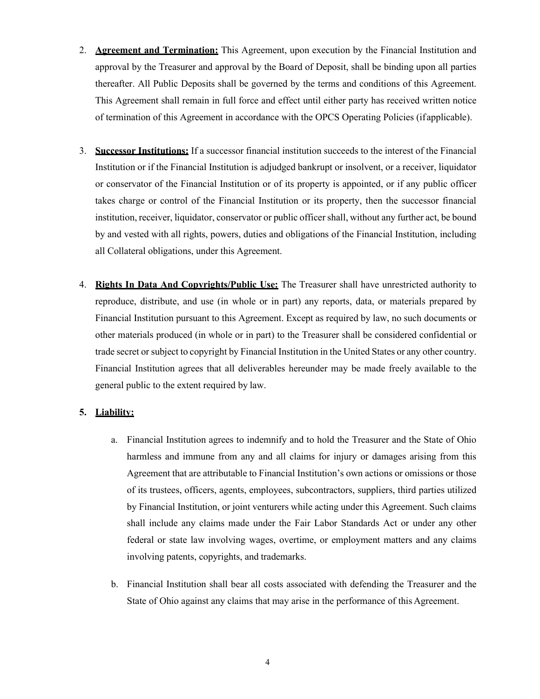- 2. **Agreement and Termination:** This Agreement, upon execution by the Financial Institution and approval by the Treasurer and approval by the Board of Deposit, shall be binding upon all parties thereafter. All Public Deposits shall be governed by the terms and conditions of this Agreement. This Agreement shall remain in full force and effect until either party has received written notice of termination of this Agreement in accordance with the OPCS Operating Policies (if applicable).
- 3. **Successor Institutions:** If a successor financial institution succeeds to the interest of the Financial Institution or if the Financial Institution is adjudged bankrupt or insolvent, or a receiver, liquidator or conservator of the Financial Institution or of its property is appointed, or if any public officer takes charge or control of the Financial Institution or its property, then the successor financial institution, receiver, liquidator, conservator or public officer shall, without any further act, be bound by and vested with all rights, powers, duties and obligations of the Financial Institution, including all Collateral obligations, under this Agreement.
- 4. **Rights In Data And Copyrights/Public Use:** The Treasurer shall have unrestricted authority to reproduce, distribute, and use (in whole or in part) any reports, data, or materials prepared by Financial Institution pursuant to this Agreement. Except as required by law, no such documents or other materials produced (in whole or in part) to the Treasurer shall be considered confidential or trade secret or subject to copyright by Financial Institution in the United States or any other country. Financial Institution agrees that all deliverables hereunder may be made freely available to the general public to the extent required by law.

#### **5. Liability:**

- a. Financial Institution agrees to indemnify and to hold the Treasurer and the State of Ohio harmless and immune from any and all claims for injury or damages arising from this Agreement that are attributable to Financial Institution's own actions or omissions or those of its trustees, officers, agents, employees, subcontractors, suppliers, third parties utilized by Financial Institution, or joint venturers while acting under this Agreement. Such claims shall include any claims made under the Fair Labor Standards Act or under any other federal or state law involving wages, overtime, or employment matters and any claims involving patents, copyrights, and trademarks.
- b. Financial Institution shall bear all costs associated with defending the Treasurer and the State of Ohio against any claims that may arise in the performance of this Agreement.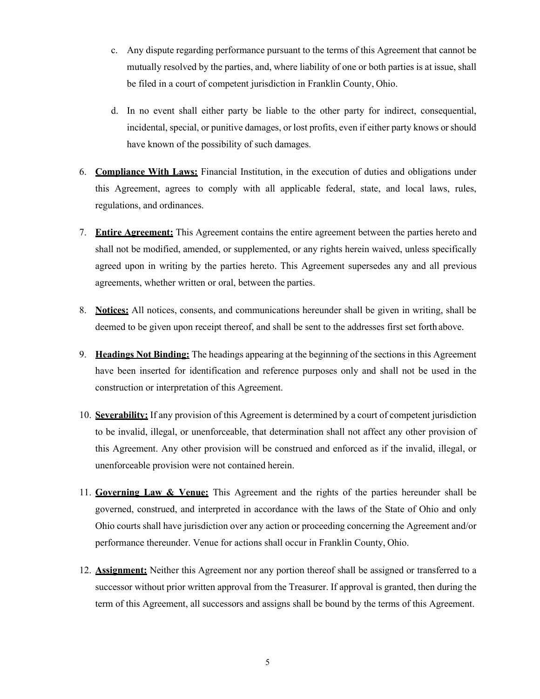- c. Any dispute regarding performance pursuant to the terms of this Agreement that cannot be mutually resolved by the parties, and, where liability of one or both parties is at issue, shall be filed in a court of competent jurisdiction in Franklin County, Ohio.
- d. In no event shall either party be liable to the other party for indirect, consequential, incidental, special, or punitive damages, or lost profits, even if either party knows or should have known of the possibility of such damages.
- 6. **Compliance With Laws:** Financial Institution, in the execution of duties and obligations under this Agreement, agrees to comply with all applicable federal, state, and local laws, rules, regulations, and ordinances.
- 7. **Entire Agreement:** This Agreement contains the entire agreement between the parties hereto and shall not be modified, amended, or supplemented, or any rights herein waived, unless specifically agreed upon in writing by the parties hereto. This Agreement supersedes any and all previous agreements, whether written or oral, between the parties.
- 8. **Notices:** All notices, consents, and communications hereunder shall be given in writing, shall be deemed to be given upon receipt thereof, and shall be sent to the addresses first set forth above.
- 9. **Headings Not Binding:** The headings appearing at the beginning of the sections in this Agreement have been inserted for identification and reference purposes only and shall not be used in the construction or interpretation of this Agreement.
- 10. **Severability:** If any provision of this Agreement is determined by a court of competent jurisdiction to be invalid, illegal, or unenforceable, that determination shall not affect any other provision of this Agreement. Any other provision will be construed and enforced as if the invalid, illegal, or unenforceable provision were not contained herein.
- 11. **Governing Law & Venue:** This Agreement and the rights of the parties hereunder shall be governed, construed, and interpreted in accordance with the laws of the State of Ohio and only Ohio courts shall have jurisdiction over any action or proceeding concerning the Agreement and/or performance thereunder. Venue for actions shall occur in Franklin County, Ohio.
- 12. **Assignment:** Neither this Agreement nor any portion thereof shall be assigned or transferred to a successor without prior written approval from the Treasurer. If approval is granted, then during the term of this Agreement, all successors and assigns shall be bound by the terms of this Agreement.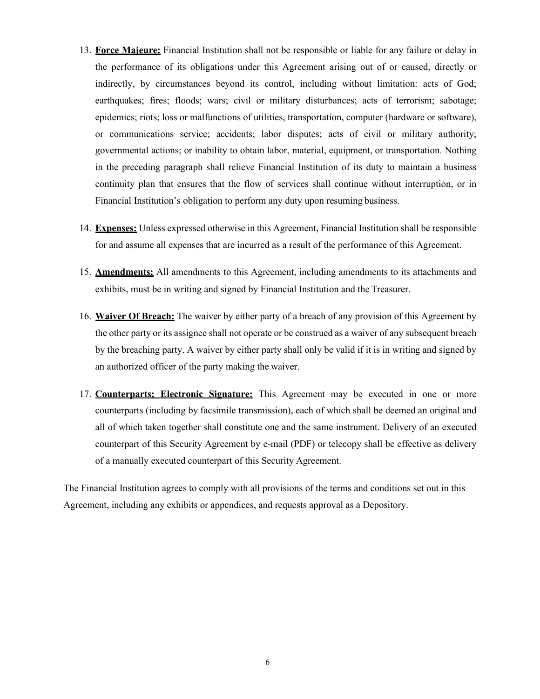- 13. **Force Majeure:** Financial Institution shall not be responsible or liable for any failure or delay in the performance of its obligations under this Agreement arising out of or caused, directly or indirectly, by circumstances beyond its control, including without limitation: acts of God; earthquakes; fires; floods; wars; civil or military disturbances; acts of terrorism; sabotage; epidemics; riots; loss or malfunctions of utilities, transportation, computer (hardware or software), or communications service; accidents; labor disputes; acts of civil or military authority; governmental actions; or inability to obtain labor, material, equipment, or transportation. Nothing in the preceding paragraph shall relieve Financial Institution of its duty to maintain a business continuity plan that ensures that the flow of services shall continue without interruption, or in Financial Institution's obligation to perform any duty upon resuming business.
- 14. **Expenses:** Unless expressed otherwise in this Agreement, Financial Institution shall be responsible for and assume all expenses that are incurred as a result of the performance of this Agreement.
- 15. **Amendments:** All amendments to this Agreement, including amendments to its attachments and exhibits, must be in writing and signed by Financial Institution and the Treasurer.
- 16. **Waiver Of Breach:** The waiver by either party of a breach of any provision of this Agreement by the other party or its assignee shall not operate or be construed as a waiver of any subsequent breach by the breaching party. A waiver by either party shall only be valid if it is in writing and signed by an authorized officer of the party making the waiver.
- 17. **Counterparts; Electronic Signature:** This Agreement may be executed in one or more counterparts (including by facsimile transmission), each of which shall be deemed an original and all of which taken together shall constitute one and the same instrument. Delivery of an executed counterpart of this Security Agreement by e-mail (PDF) or telecopy shall be effective as delivery of a manually executed counterpart of this Security Agreement.

The Financial Institution agrees to comply with all provisions of the terms and conditions set out in this Agreement, including any exhibits or appendices, and requests approval as a Depository.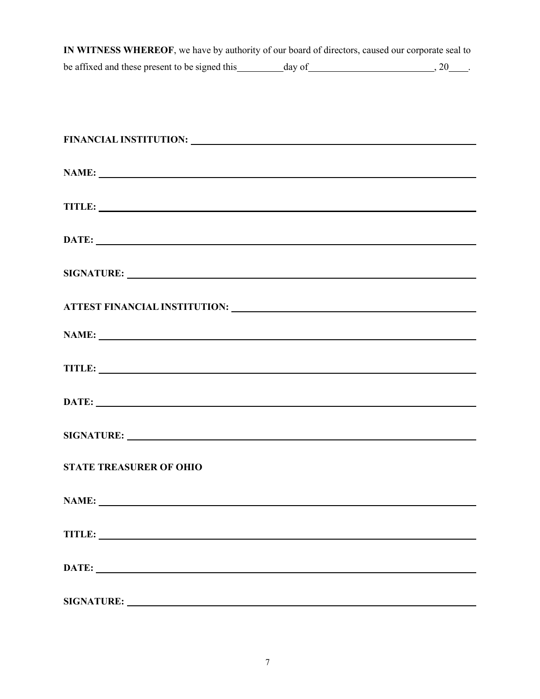| IN WITNESS WHEREOF, we have by authority of our board of directors, caused our corporate seal to |        |    |
|--------------------------------------------------------------------------------------------------|--------|----|
| be affixed and these present to be signed this                                                   | dav of | 20 |

| FINANCIAL INSTITUTION: University of the contract of the contract of the contract of the contract of the contract of the contract of the contract of the contract of the contract of the contract of the contract of the contr |  |
|--------------------------------------------------------------------------------------------------------------------------------------------------------------------------------------------------------------------------------|--|
| NAME: NAME:                                                                                                                                                                                                                    |  |
|                                                                                                                                                                                                                                |  |
| TITLE: TITLE:                                                                                                                                                                                                                  |  |
| DATE:                                                                                                                                                                                                                          |  |
|                                                                                                                                                                                                                                |  |
|                                                                                                                                                                                                                                |  |
| NAME:                                                                                                                                                                                                                          |  |
| TITLE: TITLE:                                                                                                                                                                                                                  |  |
| DATE:                                                                                                                                                                                                                          |  |
|                                                                                                                                                                                                                                |  |
| <b>STATE TREASURER OF OHIO</b>                                                                                                                                                                                                 |  |
| NAME: NAME:                                                                                                                                                                                                                    |  |
| TITLE:                                                                                                                                                                                                                         |  |
|                                                                                                                                                                                                                                |  |
|                                                                                                                                                                                                                                |  |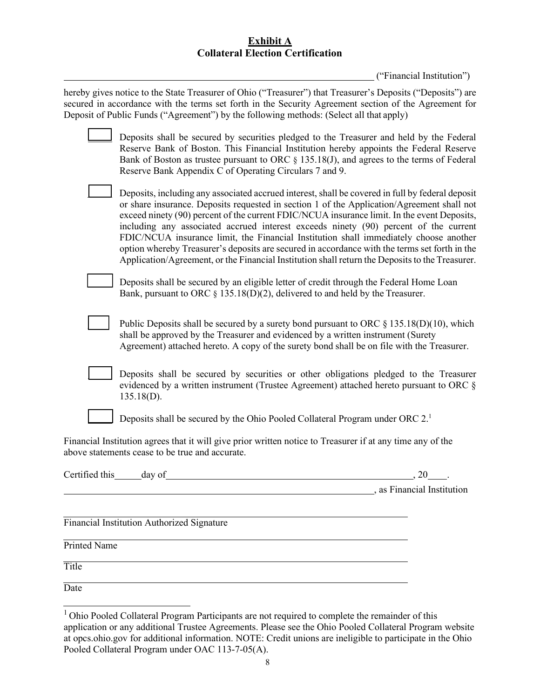# **Exhibit A Collateral Election Certification**

("Financial Institution")

| hereby gives notice to the State Treasurer of Ohio ("Treasurer") that Treasurer's Deposits ("Deposits") are<br>secured in accordance with the terms set forth in the Security Agreement section of the Agreement for<br>Deposit of Public Funds ("Agreement") by the following methods: (Select all that apply)                                                                                                                                                                                                                                                                                                                                                                    |                            |
|------------------------------------------------------------------------------------------------------------------------------------------------------------------------------------------------------------------------------------------------------------------------------------------------------------------------------------------------------------------------------------------------------------------------------------------------------------------------------------------------------------------------------------------------------------------------------------------------------------------------------------------------------------------------------------|----------------------------|
| Deposits shall be secured by securities pledged to the Treasurer and held by the Federal<br>Reserve Bank of Boston. This Financial Institution hereby appoints the Federal Reserve<br>Bank of Boston as trustee pursuant to ORC $\S$ 135.18(J), and agrees to the terms of Federal<br>Reserve Bank Appendix C of Operating Circulars 7 and 9.                                                                                                                                                                                                                                                                                                                                      |                            |
| Deposits, including any associated accrued interest, shall be covered in full by federal deposit<br>or share insurance. Deposits requested in section 1 of the Application/Agreement shall not<br>exceed ninety (90) percent of the current FDIC/NCUA insurance limit. In the event Deposits,<br>including any associated accrued interest exceeds ninety (90) percent of the current<br>FDIC/NCUA insurance limit, the Financial Institution shall immediately choose another<br>option whereby Treasurer's deposits are secured in accordance with the terms set forth in the<br>Application/Agreement, or the Financial Institution shall return the Deposits to the Treasurer. |                            |
| Deposits shall be secured by an eligible letter of credit through the Federal Home Loan<br>Bank, pursuant to ORC $\S$ 135.18(D)(2), delivered to and held by the Treasurer.                                                                                                                                                                                                                                                                                                                                                                                                                                                                                                        |                            |
| Public Deposits shall be secured by a surety bond pursuant to ORC $\S$ 135.18(D)(10), which<br>shall be approved by the Treasurer and evidenced by a written instrument (Surety<br>Agreement) attached hereto. A copy of the surety bond shall be on file with the Treasurer.                                                                                                                                                                                                                                                                                                                                                                                                      |                            |
| Deposits shall be secured by securities or other obligations pledged to the Treasurer<br>evidenced by a written instrument (Trustee Agreement) attached hereto pursuant to ORC §<br>$135.18(D)$ .                                                                                                                                                                                                                                                                                                                                                                                                                                                                                  |                            |
| Deposits shall be secured by the Ohio Pooled Collateral Program under ORC 2. <sup>1</sup>                                                                                                                                                                                                                                                                                                                                                                                                                                                                                                                                                                                          |                            |
| Financial Institution agrees that it will give prior written notice to Treasurer if at any time any of the<br>above statements cease to be true and accurate.                                                                                                                                                                                                                                                                                                                                                                                                                                                                                                                      |                            |
| day of<br>Certified this                                                                                                                                                                                                                                                                                                                                                                                                                                                                                                                                                                                                                                                           | 20                         |
|                                                                                                                                                                                                                                                                                                                                                                                                                                                                                                                                                                                                                                                                                    | s as Financial Institution |
| Financial Institution Authorized Signature                                                                                                                                                                                                                                                                                                                                                                                                                                                                                                                                                                                                                                         |                            |
| Printed Name                                                                                                                                                                                                                                                                                                                                                                                                                                                                                                                                                                                                                                                                       |                            |
| Title                                                                                                                                                                                                                                                                                                                                                                                                                                                                                                                                                                                                                                                                              |                            |

<span id="page-7-0"></span>Date

<sup>&</sup>lt;sup>1</sup> Ohio Pooled Collateral Program Participants are not required to complete the remainder of this application or any additional Trustee Agreements. Please see the Ohio Pooled Collateral Program website at opcs.ohio.gov for additional information. NOTE: Credit unions are ineligible to participate in the Ohio Pooled Collateral Program under OAC 113-7-05(A).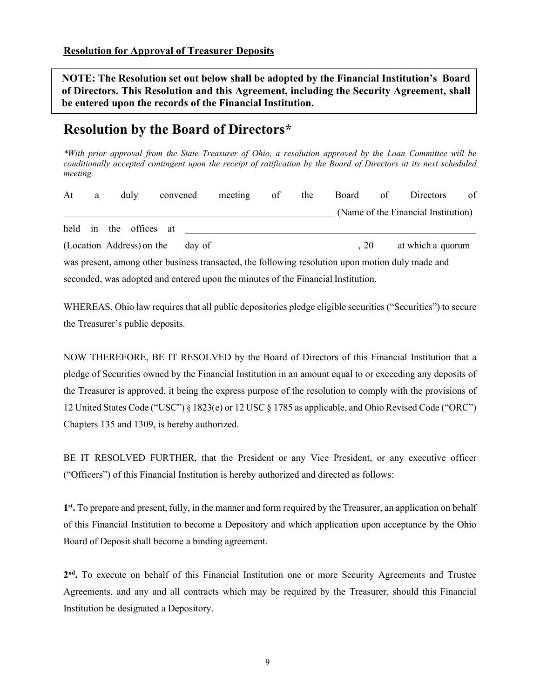**NOTE: The Resolution set out below shall be adopted by the Financial Institution's Board of Directors. This Resolution and this Agreement, including the Security Agreement, shall be entered upon the records of the Financial Institution.**

# **Resolution by the Board of Directors\***

*\*With prior approval from the State Treasurer of Ohio, a resolution approved by the Loan Committee will be conditionally accepted contingent upon the receipt of ratification by the Board of Directors at its next scheduled meeting.*

| At | a | duly                             | convened | meeting                                                                          | of | the |    | Board of Directors                                                                               | of |
|----|---|----------------------------------|----------|----------------------------------------------------------------------------------|----|-----|----|--------------------------------------------------------------------------------------------------|----|
|    |   |                                  |          |                                                                                  |    |     |    | (Name of the Financial Institution)                                                              |    |
|    |   | held in the offices at           |          |                                                                                  |    |     |    |                                                                                                  |    |
|    |   | (Location Address) on the day of |          |                                                                                  |    |     | 20 | at which a quorum                                                                                |    |
|    |   |                                  |          |                                                                                  |    |     |    | was present, among other business transacted, the following resolution upon motion duly made and |    |
|    |   |                                  |          | seconded, was adopted and entered upon the minutes of the Financial Institution. |    |     |    |                                                                                                  |    |

WHEREAS, Ohio law requires that all public depositories pledge eligible securities ("Securities") to secure the Treasurer's public deposits.

NOW THEREFORE, BE IT RESOLVED by the Board of Directors of this Financial Institution that a pledge of Securities owned by the Financial Institution in an amount equal to or exceeding any deposits of the Treasurer is approved, it being the express purpose of the resolution to comply with the provisions of 12 United States Code ("USC") § 1823(e) or 12 USC § 1785 as applicable, and Ohio Revised Code ("ORC") Chapters 135 and 1309, is hereby authorized.

BE IT RESOLVED FURTHER, that the President or any Vice President, or any executive officer ("Officers") of this Financial Institution is hereby authorized and directed as follows:

**1st.** To prepare and present, fully, in the manner and form required by the Treasurer, an application on behalf of this Financial Institution to become a Depository and which application upon acceptance by the Ohio Board of Deposit shall become a binding agreement.

**2nd.** To execute on behalf of this Financial Institution one or more Security Agreements and Trustee Agreements, and any and all contracts which may be required by the Treasurer, should this Financial Institution be designated a Depository.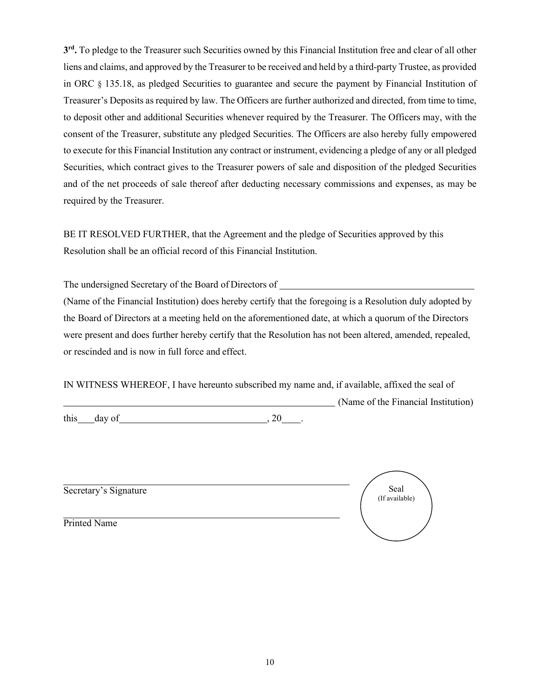**3rd.** To pledge to the Treasurer such Securities owned by this Financial Institution free and clear of all other liens and claims, and approved by the Treasurer to be received and held by a third-party Trustee, as provided in ORC § 135.18, as pledged Securities to guarantee and secure the payment by Financial Institution of Treasurer's Deposits as required by law. The Officers are further authorized and directed, from time to time, to deposit other and additional Securities whenever required by the Treasurer. The Officers may, with the consent of the Treasurer, substitute any pledged Securities. The Officers are also hereby fully empowered to execute for this Financial Institution any contract or instrument, evidencing a pledge of any or all pledged Securities, which contract gives to the Treasurer powers of sale and disposition of the pledged Securities and of the net proceeds of sale thereof after deducting necessary commissions and expenses, as may be required by the Treasurer.

BE IT RESOLVED FURTHER, that the Agreement and the pledge of Securities approved by this Resolution shall be an official record of this Financial Institution.

The undersigned Secretary of the Board of Directors of

(Name of the Financial Institution) does hereby certify that the foregoing is a Resolution duly adopted by the Board of Directors at a meeting held on the aforementioned date, at which a quorum of the Directors were present and does further hereby certify that the Resolution has not been altered, amended, repealed, or rescinded and is now in full force and effect.

IN WITNESS WHEREOF, I have hereunto subscribed my name and, if available, affixed the seal of (Name of the Financial Institution)

 $\frac{1}{20}$  ,  $\frac{1}{20}$  ,  $\frac{1}{20}$  ,  $\frac{1}{20}$  ,  $\frac{1}{20}$  ,  $\frac{1}{20}$  ,  $\frac{1}{20}$  ,  $\frac{1}{20}$  ,  $\frac{1}{20}$  ,  $\frac{1}{20}$  ,  $\frac{1}{20}$  ,  $\frac{1}{20}$  ,  $\frac{1}{20}$  ,  $\frac{1}{20}$  ,  $\frac{1}{20}$  ,  $\frac{1}{20}$  ,  $\frac{1}{20}$  ,

Secretary's Signature

Seal (If available)

Printed Name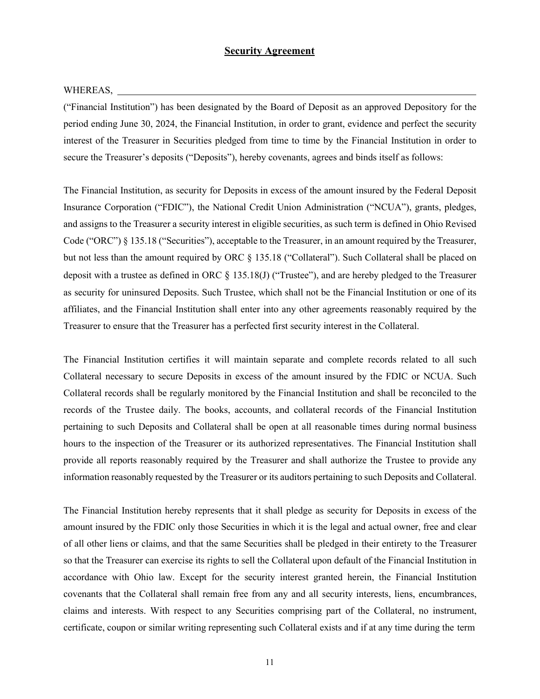#### **Security Agreement**

#### WHEREAS,

("Financial Institution") has been designated by the Board of Deposit as an approved Depository for the period ending June 30, 2024, the Financial Institution, in order to grant, evidence and perfect the security interest of the Treasurer in Securities pledged from time to time by the Financial Institution in order to secure the Treasurer's deposits ("Deposits"), hereby covenants, agrees and binds itself as follows:

The Financial Institution, as security for Deposits in excess of the amount insured by the Federal Deposit Insurance Corporation ("FDIC"), the National Credit Union Administration ("NCUA"), grants, pledges, and assigns to the Treasurer a security interest in eligible securities, as such term is defined in Ohio Revised Code ("ORC") § 135.18 ("Securities"), acceptable to the Treasurer, in an amount required by the Treasurer, but not less than the amount required by ORC § 135.18 ("Collateral"). Such Collateral shall be placed on deposit with a trustee as defined in ORC  $\S$  135.18(J) ("Trustee"), and are hereby pledged to the Treasurer as security for uninsured Deposits. Such Trustee, which shall not be the Financial Institution or one of its affiliates, and the Financial Institution shall enter into any other agreements reasonably required by the Treasurer to ensure that the Treasurer has a perfected first security interest in the Collateral.

The Financial Institution certifies it will maintain separate and complete records related to all such Collateral necessary to secure Deposits in excess of the amount insured by the FDIC or NCUA. Such Collateral records shall be regularly monitored by the Financial Institution and shall be reconciled to the records of the Trustee daily. The books, accounts, and collateral records of the Financial Institution pertaining to such Deposits and Collateral shall be open at all reasonable times during normal business hours to the inspection of the Treasurer or its authorized representatives. The Financial Institution shall provide all reports reasonably required by the Treasurer and shall authorize the Trustee to provide any information reasonably requested by the Treasurer or its auditors pertaining to such Deposits and Collateral.

The Financial Institution hereby represents that it shall pledge as security for Deposits in excess of the amount insured by the FDIC only those Securities in which it is the legal and actual owner, free and clear of all other liens or claims, and that the same Securities shall be pledged in their entirety to the Treasurer so that the Treasurer can exercise its rights to sell the Collateral upon default of the Financial Institution in accordance with Ohio law. Except for the security interest granted herein, the Financial Institution covenants that the Collateral shall remain free from any and all security interests, liens, encumbrances, claims and interests. With respect to any Securities comprising part of the Collateral, no instrument, certificate, coupon or similar writing representing such Collateral exists and if at any time during the term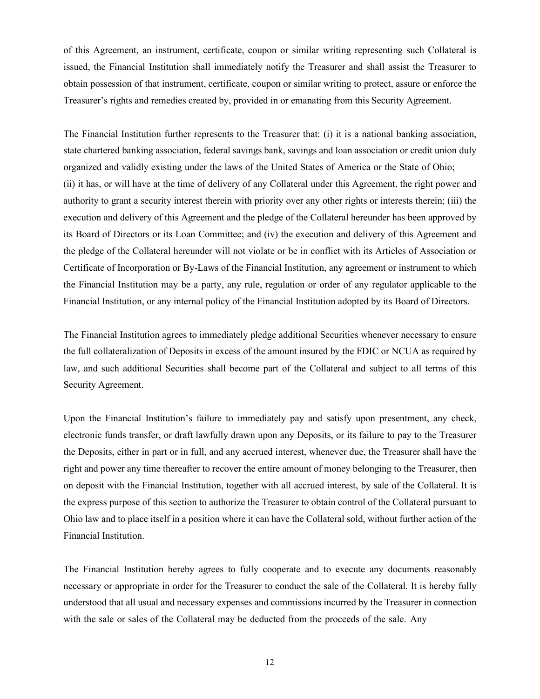of this Agreement, an instrument, certificate, coupon or similar writing representing such Collateral is issued, the Financial Institution shall immediately notify the Treasurer and shall assist the Treasurer to obtain possession of that instrument, certificate, coupon or similar writing to protect, assure or enforce the Treasurer's rights and remedies created by, provided in or emanating from this Security Agreement.

The Financial Institution further represents to the Treasurer that: (i) it is a national banking association, state chartered banking association, federal savings bank, savings and loan association or credit union duly organized and validly existing under the laws of the United States of America or the State of Ohio; (ii) it has, or will have at the time of delivery of any Collateral under this Agreement, the right power and authority to grant a security interest therein with priority over any other rights or interests therein; (iii) the execution and delivery of this Agreement and the pledge of the Collateral hereunder has been approved by its Board of Directors or its Loan Committee; and (iv) the execution and delivery of this Agreement and the pledge of the Collateral hereunder will not violate or be in conflict with its Articles of Association or Certificate of Incorporation or By-Laws of the Financial Institution, any agreement or instrument to which the Financial Institution may be a party, any rule, regulation or order of any regulator applicable to the Financial Institution, or any internal policy of the Financial Institution adopted by its Board of Directors.

The Financial Institution agrees to immediately pledge additional Securities whenever necessary to ensure the full collateralization of Deposits in excess of the amount insured by the FDIC or NCUA as required by law, and such additional Securities shall become part of the Collateral and subject to all terms of this Security Agreement.

Upon the Financial Institution's failure to immediately pay and satisfy upon presentment, any check, electronic funds transfer, or draft lawfully drawn upon any Deposits, or its failure to pay to the Treasurer the Deposits, either in part or in full, and any accrued interest, whenever due, the Treasurer shall have the right and power any time thereafter to recover the entire amount of money belonging to the Treasurer, then on deposit with the Financial Institution, together with all accrued interest, by sale of the Collateral. It is the express purpose of this section to authorize the Treasurer to obtain control of the Collateral pursuant to Ohio law and to place itself in a position where it can have the Collateral sold, without further action of the Financial Institution.

The Financial Institution hereby agrees to fully cooperate and to execute any documents reasonably necessary or appropriate in order for the Treasurer to conduct the sale of the Collateral. It is hereby fully understood that all usual and necessary expenses and commissions incurred by the Treasurer in connection with the sale or sales of the Collateral may be deducted from the proceeds of the sale. Any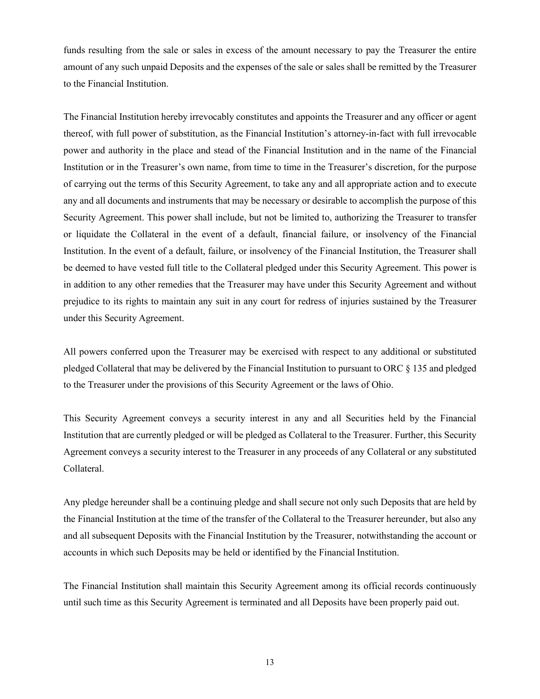funds resulting from the sale or sales in excess of the amount necessary to pay the Treasurer the entire amount of any such unpaid Deposits and the expenses of the sale or sales shall be remitted by the Treasurer to the Financial Institution.

The Financial Institution hereby irrevocably constitutes and appoints the Treasurer and any officer or agent thereof, with full power of substitution, as the Financial Institution's attorney-in-fact with full irrevocable power and authority in the place and stead of the Financial Institution and in the name of the Financial Institution or in the Treasurer's own name, from time to time in the Treasurer's discretion, for the purpose of carrying out the terms of this Security Agreement, to take any and all appropriate action and to execute any and all documents and instruments that may be necessary or desirable to accomplish the purpose of this Security Agreement. This power shall include, but not be limited to, authorizing the Treasurer to transfer or liquidate the Collateral in the event of a default, financial failure, or insolvency of the Financial Institution. In the event of a default, failure, or insolvency of the Financial Institution, the Treasurer shall be deemed to have vested full title to the Collateral pledged under this Security Agreement. This power is in addition to any other remedies that the Treasurer may have under this Security Agreement and without prejudice to its rights to maintain any suit in any court for redress of injuries sustained by the Treasurer under this Security Agreement.

All powers conferred upon the Treasurer may be exercised with respect to any additional or substituted pledged Collateral that may be delivered by the Financial Institution to pursuant to ORC § 135 and pledged to the Treasurer under the provisions of this Security Agreement or the laws of Ohio.

This Security Agreement conveys a security interest in any and all Securities held by the Financial Institution that are currently pledged or will be pledged as Collateral to the Treasurer. Further, this Security Agreement conveys a security interest to the Treasurer in any proceeds of any Collateral or any substituted Collateral.

Any pledge hereunder shall be a continuing pledge and shall secure not only such Deposits that are held by the Financial Institution at the time of the transfer of the Collateral to the Treasurer hereunder, but also any and all subsequent Deposits with the Financial Institution by the Treasurer, notwithstanding the account or accounts in which such Deposits may be held or identified by the Financial Institution.

The Financial Institution shall maintain this Security Agreement among its official records continuously until such time as this Security Agreement is terminated and all Deposits have been properly paid out.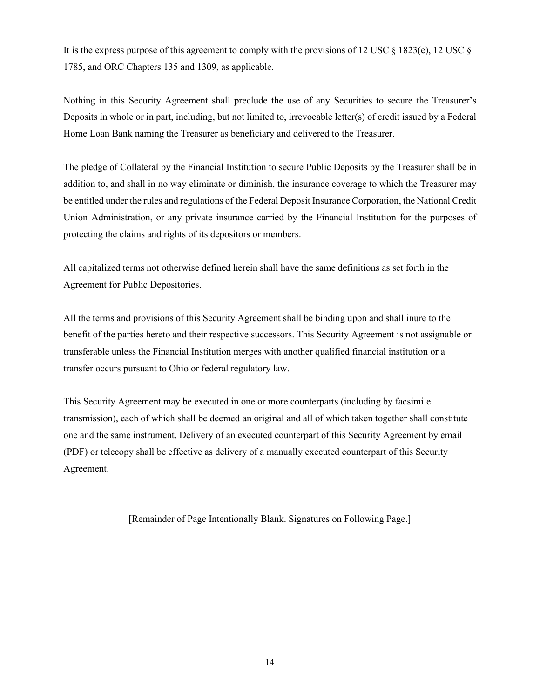It is the express purpose of this agreement to comply with the provisions of 12 USC § 1823(e), 12 USC § 1785, and ORC Chapters 135 and 1309, as applicable.

Nothing in this Security Agreement shall preclude the use of any Securities to secure the Treasurer's Deposits in whole or in part, including, but not limited to, irrevocable letter(s) of credit issued by a Federal Home Loan Bank naming the Treasurer as beneficiary and delivered to the Treasurer.

The pledge of Collateral by the Financial Institution to secure Public Deposits by the Treasurer shall be in addition to, and shall in no way eliminate or diminish, the insurance coverage to which the Treasurer may be entitled under the rules and regulations of the Federal Deposit Insurance Corporation, the National Credit Union Administration, or any private insurance carried by the Financial Institution for the purposes of protecting the claims and rights of its depositors or members.

All capitalized terms not otherwise defined herein shall have the same definitions as set forth in the Agreement for Public Depositories.

All the terms and provisions of this Security Agreement shall be binding upon and shall inure to the benefit of the parties hereto and their respective successors. This Security Agreement is not assignable or transferable unless the Financial Institution merges with another qualified financial institution or a transfer occurs pursuant to Ohio or federal regulatory law.

This Security Agreement may be executed in one or more counterparts (including by facsimile transmission), each of which shall be deemed an original and all of which taken together shall constitute one and the same instrument. Delivery of an executed counterpart of this Security Agreement by email (PDF) or telecopy shall be effective as delivery of a manually executed counterpart of this Security Agreement.

[Remainder of Page Intentionally Blank. Signatures on Following Page.]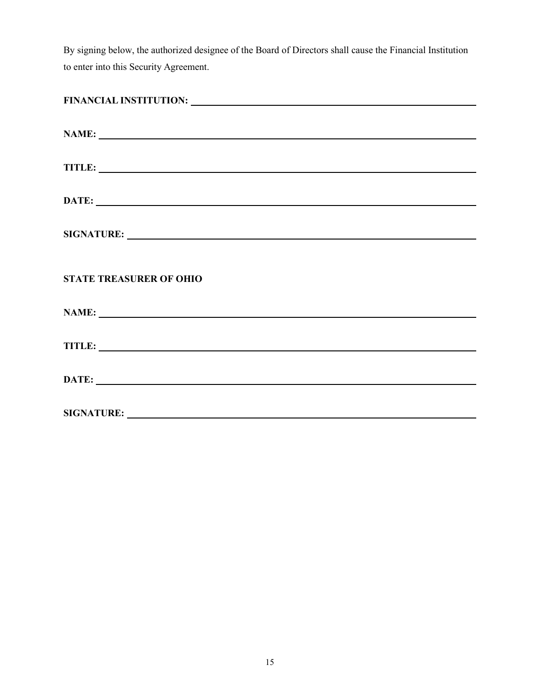By signing below, the authorized designee of the Board of Directors shall cause the Financial Institution to enter into this Security Agreement.

| NAME:                          |  |  |
|--------------------------------|--|--|
|                                |  |  |
| DATE:                          |  |  |
|                                |  |  |
| <b>STATE TREASURER OF OHIO</b> |  |  |
|                                |  |  |
| TITLE: TITLE:                  |  |  |
| DATE:                          |  |  |
|                                |  |  |